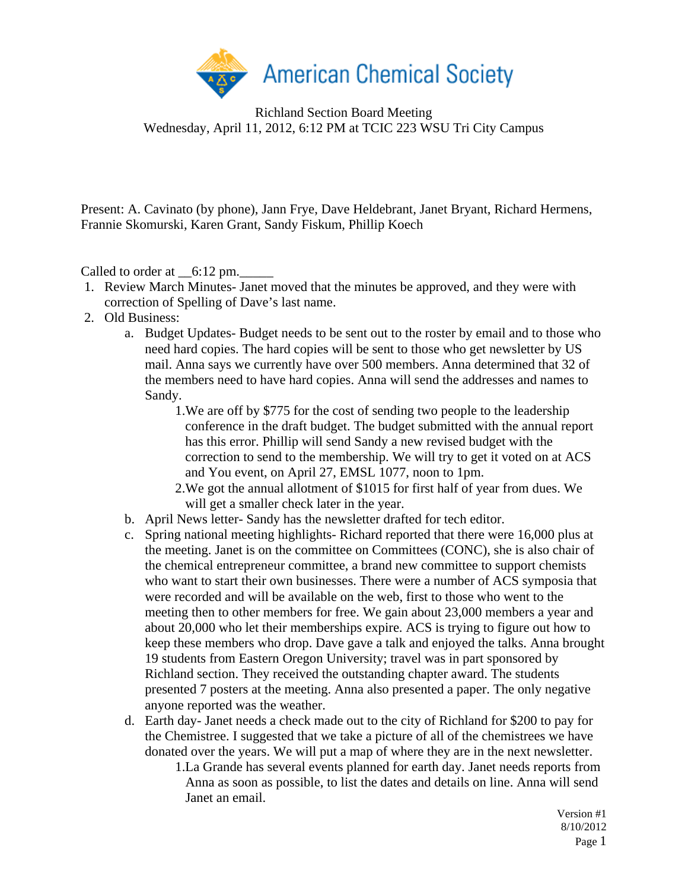

Present: A. Cavinato (by phone), Jann Frye, Dave Heldebrant, Janet Bryant, Richard Hermens, Frannie Skomurski, Karen Grant, Sandy Fiskum, Phillip Koech

Called to order at  $\_6:12 \text{ pm}$ .

- 1. Review March Minutes- Janet moved that the minutes be approved, and they were with correction of Spelling of Dave's last name.
- 2. Old Business:
	- a. Budget Updates- Budget needs to be sent out to the roster by email and to those who need hard copies. The hard copies will be sent to those who get newsletter by US mail. Anna says we currently have over 500 members. Anna determined that 32 of the members need to have hard copies. Anna will send the addresses and names to Sandy.
		- 1.We are off by \$775 for the cost of sending two people to the leadership conference in the draft budget. The budget submitted with the annual report has this error. Phillip will send Sandy a new revised budget with the correction to send to the membership. We will try to get it voted on at ACS and You event, on April 27, EMSL 1077, noon to 1pm.
		- 2.We got the annual allotment of \$1015 for first half of year from dues. We will get a smaller check later in the year.
	- b. April News letter- Sandy has the newsletter drafted for tech editor.
	- c. Spring national meeting highlights- Richard reported that there were 16,000 plus at the meeting. Janet is on the committee on Committees (CONC), she is also chair of the chemical entrepreneur committee, a brand new committee to support chemists who want to start their own businesses. There were a number of ACS symposia that were recorded and will be available on the web, first to those who went to the meeting then to other members for free. We gain about 23,000 members a year and about 20,000 who let their memberships expire. ACS is trying to figure out how to keep these members who drop. Dave gave a talk and enjoyed the talks. Anna brought 19 students from Eastern Oregon University; travel was in part sponsored by Richland section. They received the outstanding chapter award. The students presented 7 posters at the meeting. Anna also presented a paper. The only negative anyone reported was the weather.
	- d. Earth day- Janet needs a check made out to the city of Richland for \$200 to pay for the Chemistree. I suggested that we take a picture of all of the chemistrees we have donated over the years. We will put a map of where they are in the next newsletter.

1.La Grande has several events planned for earth day. Janet needs reports from Anna as soon as possible, to list the dates and details on line. Anna will send Janet an email.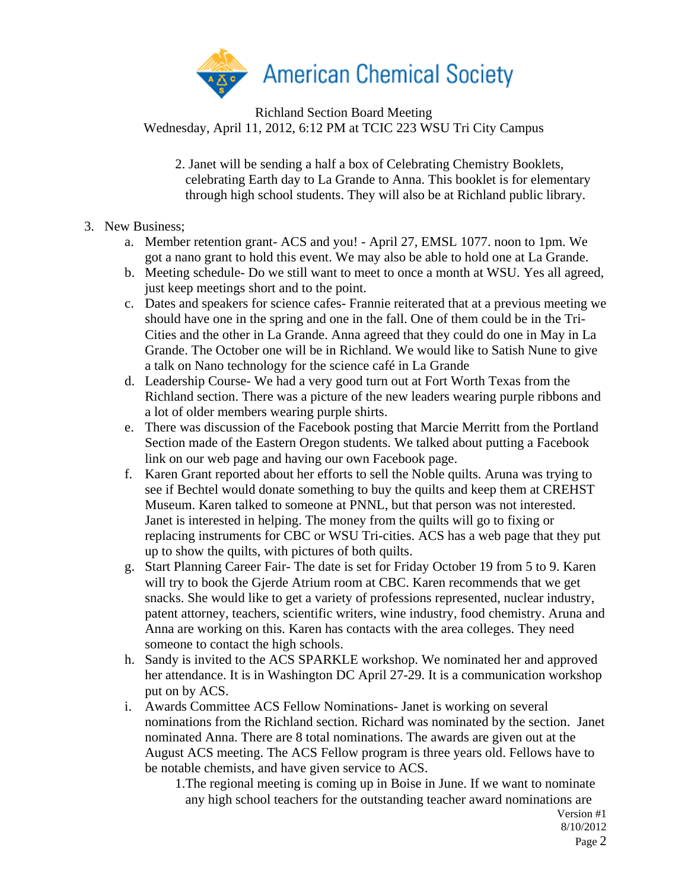

2. Janet will be sending a half a box of Celebrating Chemistry Booklets, celebrating Earth day to La Grande to Anna. This booklet is for elementary through high school students. They will also be at Richland public library.

## 3. New Business;

- a. Member retention grant- ACS and you! April 27, EMSL 1077. noon to 1pm. We got a nano grant to hold this event. We may also be able to hold one at La Grande.
- b. Meeting schedule- Do we still want to meet to once a month at WSU. Yes all agreed, just keep meetings short and to the point.
- c. Dates and speakers for science cafes- Frannie reiterated that at a previous meeting we should have one in the spring and one in the fall. One of them could be in the Tri-Cities and the other in La Grande. Anna agreed that they could do one in May in La Grande. The October one will be in Richland. We would like to Satish Nune to give a talk on Nano technology for the science café in La Grande
- d. Leadership Course- We had a very good turn out at Fort Worth Texas from the Richland section. There was a picture of the new leaders wearing purple ribbons and a lot of older members wearing purple shirts.
- e. There was discussion of the Facebook posting that Marcie Merritt from the Portland Section made of the Eastern Oregon students. We talked about putting a Facebook link on our web page and having our own Facebook page.
- f. Karen Grant reported about her efforts to sell the Noble quilts. Aruna was trying to see if Bechtel would donate something to buy the quilts and keep them at CREHST Museum. Karen talked to someone at PNNL, but that person was not interested. Janet is interested in helping. The money from the quilts will go to fixing or replacing instruments for CBC or WSU Tri-cities. ACS has a web page that they put up to show the quilts, with pictures of both quilts.
- g. Start Planning Career Fair- The date is set for Friday October 19 from 5 to 9. Karen will try to book the Gjerde Atrium room at CBC. Karen recommends that we get snacks. She would like to get a variety of professions represented, nuclear industry, patent attorney, teachers, scientific writers, wine industry, food chemistry. Aruna and Anna are working on this. Karen has contacts with the area colleges. They need someone to contact the high schools.
- h. Sandy is invited to the ACS SPARKLE workshop. We nominated her and approved her attendance. It is in Washington DC April 27-29. It is a communication workshop put on by ACS.
- i. Awards Committee ACS Fellow Nominations- Janet is working on several nominations from the Richland section. Richard was nominated by the section. Janet nominated Anna. There are 8 total nominations. The awards are given out at the August ACS meeting. The ACS Fellow program is three years old. Fellows have to be notable chemists, and have given service to ACS.

1.The regional meeting is coming up in Boise in June. If we want to nominate any high school teachers for the outstanding teacher award nominations are

Version #1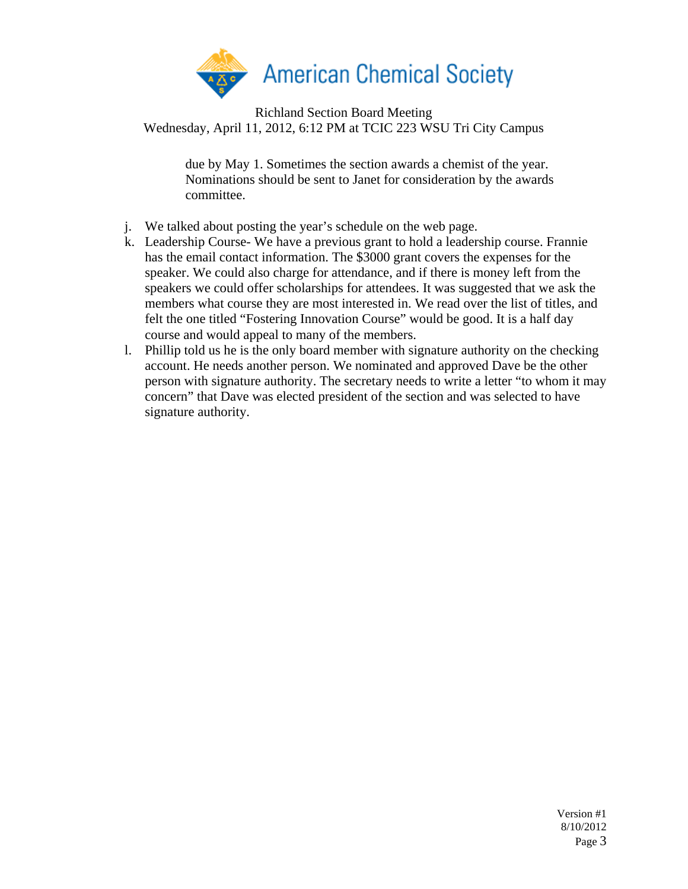

> due by May 1. Sometimes the section awards a chemist of the year. Nominations should be sent to Janet for consideration by the awards committee.

- j. We talked about posting the year's schedule on the web page.
- k. Leadership Course- We have a previous grant to hold a leadership course. Frannie has the email contact information. The \$3000 grant covers the expenses for the speaker. We could also charge for attendance, and if there is money left from the speakers we could offer scholarships for attendees. It was suggested that we ask the members what course they are most interested in. We read over the list of titles, and felt the one titled "Fostering Innovation Course" would be good. It is a half day course and would appeal to many of the members.
- l. Phillip told us he is the only board member with signature authority on the checking account. He needs another person. We nominated and approved Dave be the other person with signature authority. The secretary needs to write a letter "to whom it may concern" that Dave was elected president of the section and was selected to have signature authority.